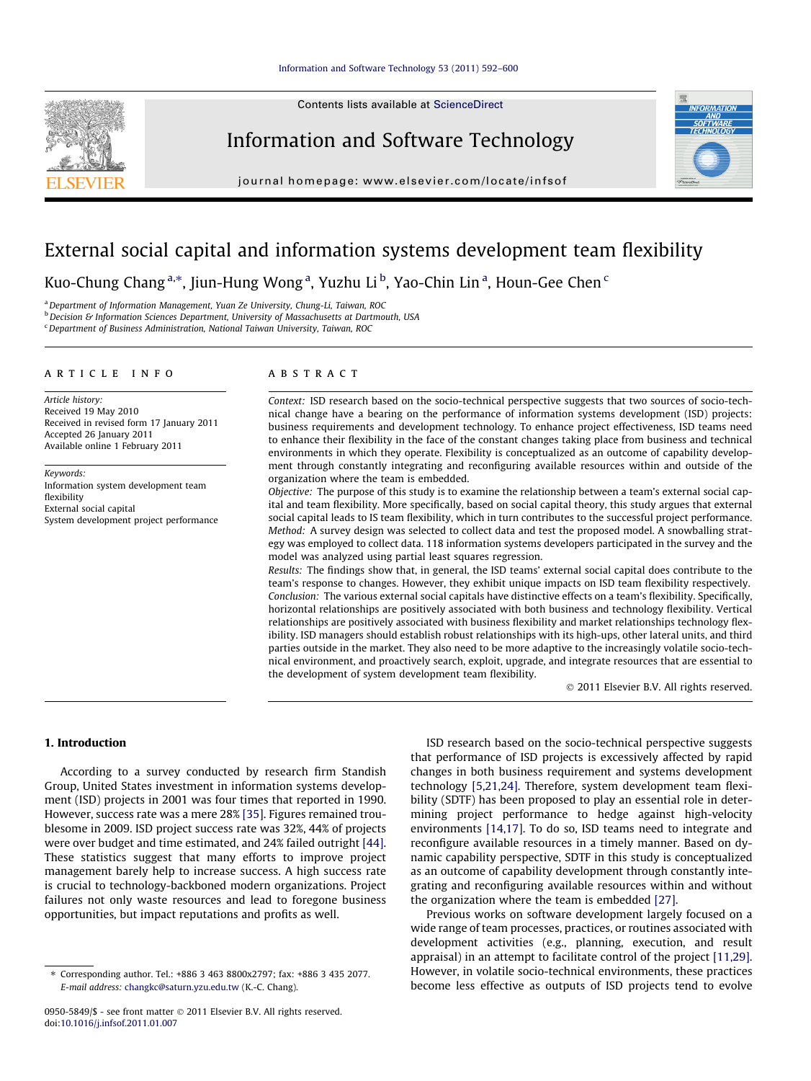Contents lists available at [ScienceDirect](http://www.sciencedirect.com/science/journal/09505849)



Information and Software Technology

journal homepage: [www.elsevier.com/locate/infsof](http://www.elsevier.com/locate/infsof)



# External social capital and information systems development team flexibility

Kuo-Chung Chang <sup>a,</sup>\*, Jiun-Hung Wong <sup>a</sup>, Yuzhu Li <sup>b</sup>, Yao-Chin Lin <sup>a</sup>, Houn-Gee Chen <sup>c</sup>

a Department of Information Management, Yuan Ze University, Chung-Li, Taiwan, ROC

**b** Decision & Information Sciences Department, University of Massachusetts at Dartmouth, USA

 $c$  Department of Business Administration, National Taiwan University, Taiwan, ROC

#### article info

Article history: Received 19 May 2010 Received in revised form 17 January 2011 Accepted 26 January 2011 Available online 1 February 2011

Keywords: Information system development team flexibility External social capital System development project performance

## ABSTRACT

Context: ISD research based on the socio-technical perspective suggests that two sources of socio-technical change have a bearing on the performance of information systems development (ISD) projects: business requirements and development technology. To enhance project effectiveness, ISD teams need to enhance their flexibility in the face of the constant changes taking place from business and technical environments in which they operate. Flexibility is conceptualized as an outcome of capability development through constantly integrating and reconfiguring available resources within and outside of the organization where the team is embedded.

Objective: The purpose of this study is to examine the relationship between a team's external social capital and team flexibility. More specifically, based on social capital theory, this study argues that external social capital leads to IS team flexibility, which in turn contributes to the successful project performance. Method: A survey design was selected to collect data and test the proposed model. A snowballing strategy was employed to collect data. 118 information systems developers participated in the survey and the model was analyzed using partial least squares regression.

Results: The findings show that, in general, the ISD teams' external social capital does contribute to the team's response to changes. However, they exhibit unique impacts on ISD team flexibility respectively. Conclusion: The various external social capitals have distinctive effects on a team's flexibility. Specifically, horizontal relationships are positively associated with both business and technology flexibility. Vertical relationships are positively associated with business flexibility and market relationships technology flexibility. ISD managers should establish robust relationships with its high-ups, other lateral units, and third parties outside in the market. They also need to be more adaptive to the increasingly volatile socio-technical environment, and proactively search, exploit, upgrade, and integrate resources that are essential to the development of system development team flexibility.

- 2011 Elsevier B.V. All rights reserved.

# 1. Introduction

According to a survey conducted by research firm Standish Group, United States investment in information systems development (ISD) projects in 2001 was four times that reported in 1990. However, success rate was a mere 28% [\[35\].](#page-8-0) Figures remained troublesome in 2009. ISD project success rate was 32%, 44% of projects were over budget and time estimated, and 24% failed outright [\[44\].](#page-8-0) These statistics suggest that many efforts to improve project management barely help to increase success. A high success rate is crucial to technology-backboned modern organizations. Project failures not only waste resources and lead to foregone business opportunities, but impact reputations and profits as well.

ISD research based on the socio-technical perspective suggests that performance of ISD projects is excessively affected by rapid changes in both business requirement and systems development technology [\[5,21,24\]](#page-7-0). Therefore, system development team flexibility (SDTF) has been proposed to play an essential role in determining project performance to hedge against high-velocity environments [\[14,17\]](#page-8-0). To do so, ISD teams need to integrate and reconfigure available resources in a timely manner. Based on dynamic capability perspective, SDTF in this study is conceptualized as an outcome of capability development through constantly integrating and reconfiguring available resources within and without the organization where the team is embedded [\[27\]](#page-8-0).

Previous works on software development largely focused on a wide range of team processes, practices, or routines associated with development activities (e.g., planning, execution, and result appraisal) in an attempt to facilitate control of the project [\[11,29\].](#page-8-0) However, in volatile socio-technical environments, these practices become less effective as outputs of ISD projects tend to evolve

<sup>⇑</sup> Corresponding author. Tel.: +886 3 463 8800x2797; fax: +886 3 435 2077. E-mail address: [changkc@saturn.yzu.edu.tw](mailto:changkc@saturn.yzu.edu.tw) (K.-C. Chang).

<sup>0950-5849/\$ -</sup> see front matter © 2011 Elsevier B.V. All rights reserved. doi:[10.1016/j.infsof.2011.01.007](http://dx.doi.org/10.1016/j.infsof.2011.01.007)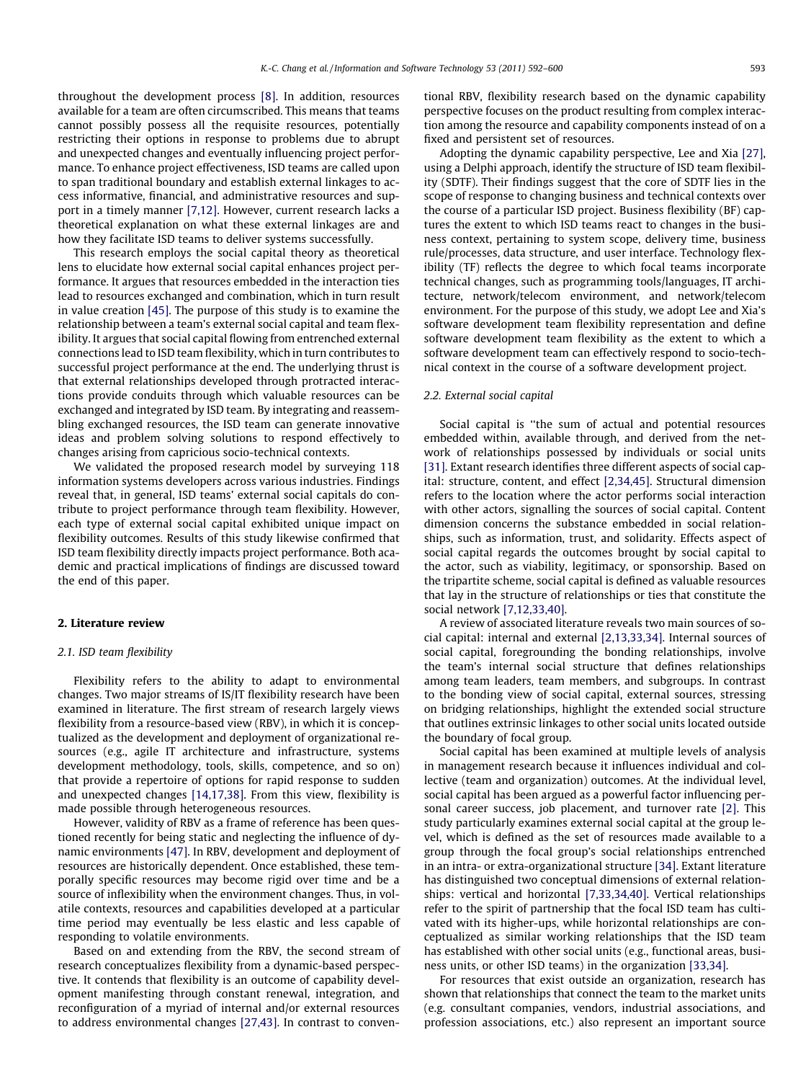throughout the development process [\[8\].](#page-8-0) In addition, resources available for a team are often circumscribed. This means that teams cannot possibly possess all the requisite resources, potentially restricting their options in response to problems due to abrupt and unexpected changes and eventually influencing project performance. To enhance project effectiveness, ISD teams are called upon to span traditional boundary and establish external linkages to access informative, financial, and administrative resources and support in a timely manner [\[7,12\]](#page-8-0). However, current research lacks a theoretical explanation on what these external linkages are and how they facilitate ISD teams to deliver systems successfully.

This research employs the social capital theory as theoretical lens to elucidate how external social capital enhances project performance. It argues that resources embedded in the interaction ties lead to resources exchanged and combination, which in turn result in value creation [\[45\]](#page-8-0). The purpose of this study is to examine the relationship between a team's external social capital and team flexibility. It argues that social capital flowing from entrenched external connections lead to ISD team flexibility, which in turn contributes to successful project performance at the end. The underlying thrust is that external relationships developed through protracted interactions provide conduits through which valuable resources can be exchanged and integrated by ISD team. By integrating and reassembling exchanged resources, the ISD team can generate innovative ideas and problem solving solutions to respond effectively to changes arising from capricious socio-technical contexts.

We validated the proposed research model by surveying 118 information systems developers across various industries. Findings reveal that, in general, ISD teams' external social capitals do contribute to project performance through team flexibility. However, each type of external social capital exhibited unique impact on flexibility outcomes. Results of this study likewise confirmed that ISD team flexibility directly impacts project performance. Both academic and practical implications of findings are discussed toward the end of this paper.

#### 2. Literature review

#### 2.1. ISD team flexibility

Flexibility refers to the ability to adapt to environmental changes. Two major streams of IS/IT flexibility research have been examined in literature. The first stream of research largely views flexibility from a resource-based view (RBV), in which it is conceptualized as the development and deployment of organizational resources (e.g., agile IT architecture and infrastructure, systems development methodology, tools, skills, competence, and so on) that provide a repertoire of options for rapid response to sudden and unexpected changes [\[14,17,38\]](#page-8-0). From this view, flexibility is made possible through heterogeneous resources.

However, validity of RBV as a frame of reference has been questioned recently for being static and neglecting the influence of dynamic environments [\[47\].](#page-8-0) In RBV, development and deployment of resources are historically dependent. Once established, these temporally specific resources may become rigid over time and be a source of inflexibility when the environment changes. Thus, in volatile contexts, resources and capabilities developed at a particular time period may eventually be less elastic and less capable of responding to volatile environments.

Based on and extending from the RBV, the second stream of research conceptualizes flexibility from a dynamic-based perspective. It contends that flexibility is an outcome of capability development manifesting through constant renewal, integration, and reconfiguration of a myriad of internal and/or external resources to address environmental changes [\[27,43\].](#page-8-0) In contrast to conventional RBV, flexibility research based on the dynamic capability perspective focuses on the product resulting from complex interaction among the resource and capability components instead of on a fixed and persistent set of resources.

Adopting the dynamic capability perspective, Lee and Xia [\[27\],](#page-8-0) using a Delphi approach, identify the structure of ISD team flexibility (SDTF). Their findings suggest that the core of SDTF lies in the scope of response to changing business and technical contexts over the course of a particular ISD project. Business flexibility (BF) captures the extent to which ISD teams react to changes in the business context, pertaining to system scope, delivery time, business rule/processes, data structure, and user interface. Technology flexibility (TF) reflects the degree to which focal teams incorporate technical changes, such as programming tools/languages, IT architecture, network/telecom environment, and network/telecom environment. For the purpose of this study, we adopt Lee and Xia's software development team flexibility representation and define software development team flexibility as the extent to which a software development team can effectively respond to socio-technical context in the course of a software development project.

#### 2.2. External social capital

Social capital is ''the sum of actual and potential resources embedded within, available through, and derived from the network of relationships possessed by individuals or social units [\[31\]](#page-8-0). Extant research identifies three different aspects of social capital: structure, content, and effect [\[2,34,45\]](#page-7-0). Structural dimension refers to the location where the actor performs social interaction with other actors, signalling the sources of social capital. Content dimension concerns the substance embedded in social relationships, such as information, trust, and solidarity. Effects aspect of social capital regards the outcomes brought by social capital to the actor, such as viability, legitimacy, or sponsorship. Based on the tripartite scheme, social capital is defined as valuable resources that lay in the structure of relationships or ties that constitute the social network [\[7,12,33,40\].](#page-8-0)

A review of associated literature reveals two main sources of social capital: internal and external [\[2,13,33,34\].](#page-7-0) Internal sources of social capital, foregrounding the bonding relationships, involve the team's internal social structure that defines relationships among team leaders, team members, and subgroups. In contrast to the bonding view of social capital, external sources, stressing on bridging relationships, highlight the extended social structure that outlines extrinsic linkages to other social units located outside the boundary of focal group.

Social capital has been examined at multiple levels of analysis in management research because it influences individual and collective (team and organization) outcomes. At the individual level, social capital has been argued as a powerful factor influencing personal career success, job placement, and turnover rate [\[2\]](#page-7-0). This study particularly examines external social capital at the group level, which is defined as the set of resources made available to a group through the focal group's social relationships entrenched in an intra- or extra-organizational structure [\[34\].](#page-8-0) Extant literature has distinguished two conceptual dimensions of external relationships: vertical and horizontal [\[7,33,34,40\].](#page-8-0) Vertical relationships refer to the spirit of partnership that the focal ISD team has cultivated with its higher-ups, while horizontal relationships are conceptualized as similar working relationships that the ISD team has established with other social units (e.g., functional areas, business units, or other ISD teams) in the organization [\[33,34\]](#page-8-0).

For resources that exist outside an organization, research has shown that relationships that connect the team to the market units (e.g. consultant companies, vendors, industrial associations, and profession associations, etc.) also represent an important source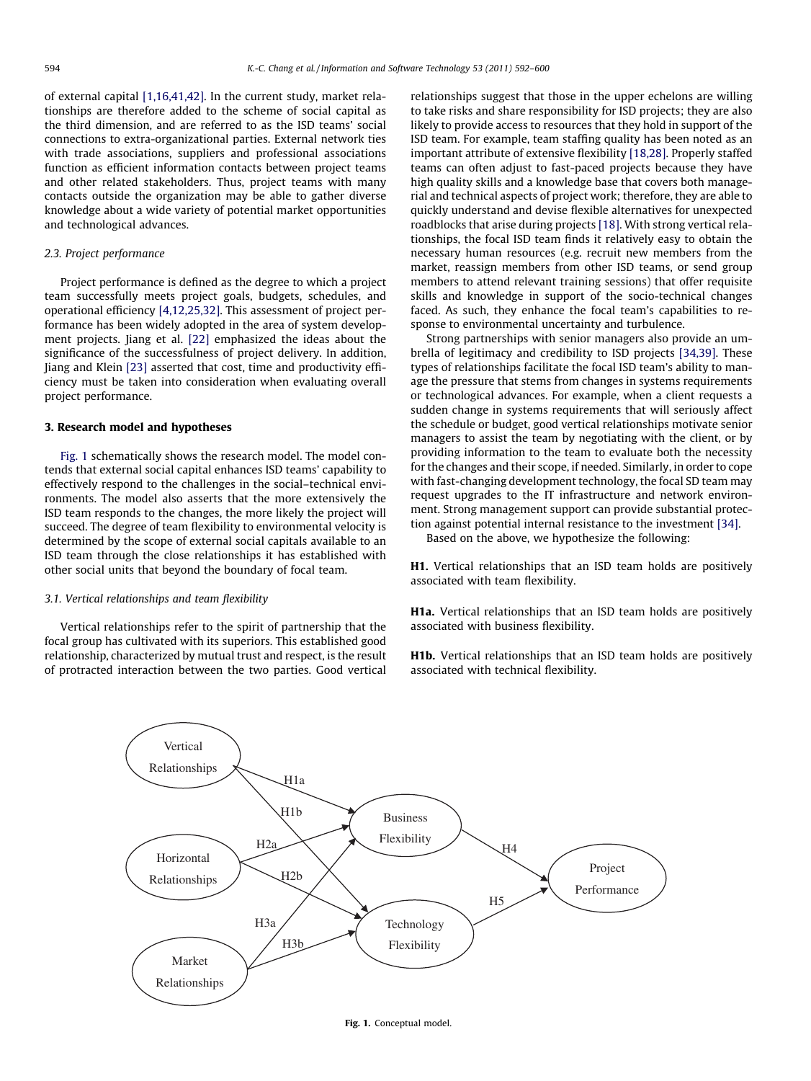<span id="page-2-0"></span>of external capital [\[1,16,41,42\].](#page-7-0) In the current study, market relationships are therefore added to the scheme of social capital as the third dimension, and are referred to as the ISD teams' social connections to extra-organizational parties. External network ties with trade associations, suppliers and professional associations function as efficient information contacts between project teams and other related stakeholders. Thus, project teams with many contacts outside the organization may be able to gather diverse knowledge about a wide variety of potential market opportunities and technological advances.

## 2.3. Project performance

Project performance is defined as the degree to which a project team successfully meets project goals, budgets, schedules, and operational efficiency [\[4,12,25,32\].](#page-7-0) This assessment of project performance has been widely adopted in the area of system development projects. Jiang et al. [\[22\]](#page-8-0) emphasized the ideas about the significance of the successfulness of project delivery. In addition, Jiang and Klein [\[23\]](#page-8-0) asserted that cost, time and productivity efficiency must be taken into consideration when evaluating overall project performance.

## 3. Research model and hypotheses

Fig. 1 schematically shows the research model. The model contends that external social capital enhances ISD teams' capability to effectively respond to the challenges in the social–technical environments. The model also asserts that the more extensively the ISD team responds to the changes, the more likely the project will succeed. The degree of team flexibility to environmental velocity is determined by the scope of external social capitals available to an ISD team through the close relationships it has established with other social units that beyond the boundary of focal team.

# 3.1. Vertical relationships and team flexibility

Vertical relationships refer to the spirit of partnership that the focal group has cultivated with its superiors. This established good relationship, characterized by mutual trust and respect, is the result of protracted interaction between the two parties. Good vertical relationships suggest that those in the upper echelons are willing to take risks and share responsibility for ISD projects; they are also likely to provide access to resources that they hold in support of the ISD team. For example, team staffing quality has been noted as an important attribute of extensive flexibility [\[18,28\]](#page-8-0). Properly staffed teams can often adjust to fast-paced projects because they have high quality skills and a knowledge base that covers both managerial and technical aspects of project work; therefore, they are able to quickly understand and devise flexible alternatives for unexpected roadblocks that arise during projects [\[18\]](#page-8-0). With strong vertical relationships, the focal ISD team finds it relatively easy to obtain the necessary human resources (e.g. recruit new members from the market, reassign members from other ISD teams, or send group members to attend relevant training sessions) that offer requisite skills and knowledge in support of the socio-technical changes faced. As such, they enhance the focal team's capabilities to response to environmental uncertainty and turbulence.

Strong partnerships with senior managers also provide an umbrella of legitimacy and credibility to ISD projects [\[34,39\].](#page-8-0) These types of relationships facilitate the focal ISD team's ability to manage the pressure that stems from changes in systems requirements or technological advances. For example, when a client requests a sudden change in systems requirements that will seriously affect the schedule or budget, good vertical relationships motivate senior managers to assist the team by negotiating with the client, or by providing information to the team to evaluate both the necessity for the changes and their scope, if needed. Similarly, in order to cope with fast-changing development technology, the focal SD team may request upgrades to the IT infrastructure and network environment. Strong management support can provide substantial protection against potential internal resistance to the investment [\[34\]](#page-8-0).

Based on the above, we hypothesize the following:

H1. Vertical relationships that an ISD team holds are positively associated with team flexibility.

H1a. Vertical relationships that an ISD team holds are positively associated with business flexibility.

H1b. Vertical relationships that an ISD team holds are positively associated with technical flexibility.



Fig. 1. Conceptual model.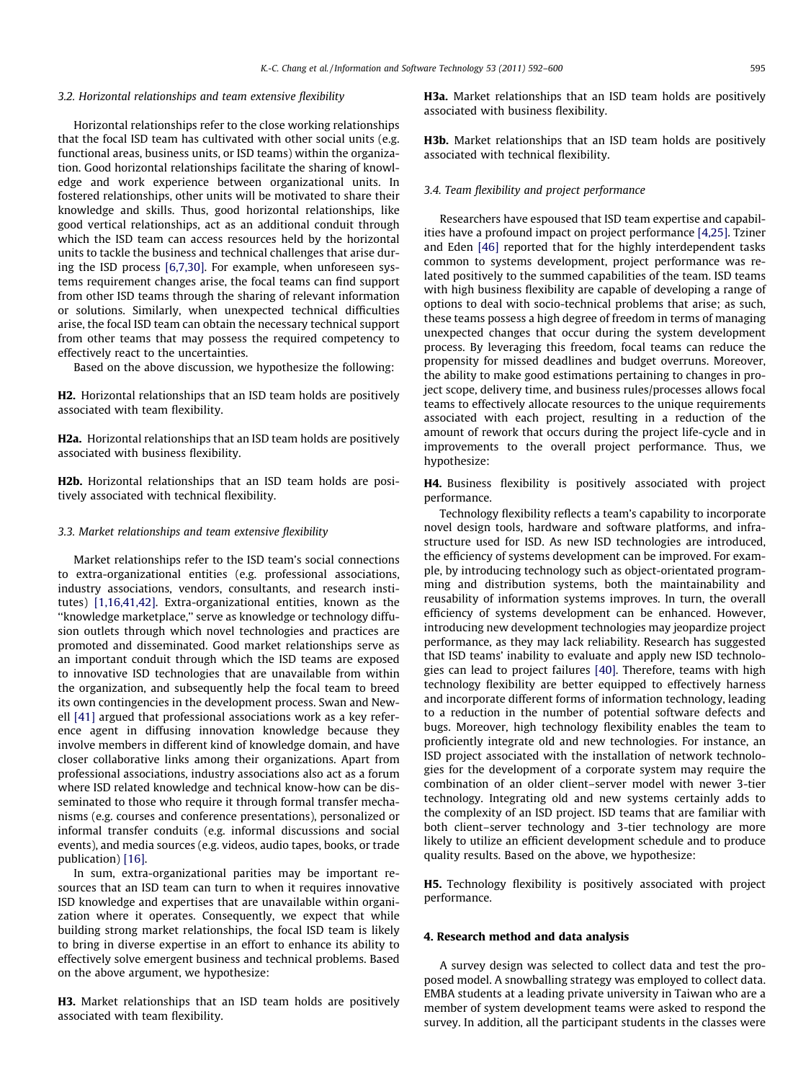#### <span id="page-3-0"></span>3.2. Horizontal relationships and team extensive flexibility

Horizontal relationships refer to the close working relationships that the focal ISD team has cultivated with other social units (e.g. functional areas, business units, or ISD teams) within the organization. Good horizontal relationships facilitate the sharing of knowledge and work experience between organizational units. In fostered relationships, other units will be motivated to share their knowledge and skills. Thus, good horizontal relationships, like good vertical relationships, act as an additional conduit through which the ISD team can access resources held by the horizontal units to tackle the business and technical challenges that arise during the ISD process [\[6,7,30\]](#page-7-0). For example, when unforeseen systems requirement changes arise, the focal teams can find support from other ISD teams through the sharing of relevant information or solutions. Similarly, when unexpected technical difficulties arise, the focal ISD team can obtain the necessary technical support from other teams that may possess the required competency to effectively react to the uncertainties.

Based on the above discussion, we hypothesize the following:

H2. Horizontal relationships that an ISD team holds are positively associated with team flexibility.

H2a. Horizontal relationships that an ISD team holds are positively associated with business flexibility.

H2b. Horizontal relationships that an ISD team holds are positively associated with technical flexibility.

#### 3.3. Market relationships and team extensive flexibility

Market relationships refer to the ISD team's social connections to extra-organizational entities (e.g. professional associations, industry associations, vendors, consultants, and research institutes) [\[1,16,41,42\]](#page-7-0). Extra-organizational entities, known as the ''knowledge marketplace,'' serve as knowledge or technology diffusion outlets through which novel technologies and practices are promoted and disseminated. Good market relationships serve as an important conduit through which the ISD teams are exposed to innovative ISD technologies that are unavailable from within the organization, and subsequently help the focal team to breed its own contingencies in the development process. Swan and Newell [\[41\]](#page-8-0) argued that professional associations work as a key reference agent in diffusing innovation knowledge because they involve members in different kind of knowledge domain, and have closer collaborative links among their organizations. Apart from professional associations, industry associations also act as a forum where ISD related knowledge and technical know-how can be disseminated to those who require it through formal transfer mechanisms (e.g. courses and conference presentations), personalized or informal transfer conduits (e.g. informal discussions and social events), and media sources (e.g. videos, audio tapes, books, or trade publication) [\[16\]](#page-8-0).

In sum, extra-organizational parities may be important resources that an ISD team can turn to when it requires innovative ISD knowledge and expertises that are unavailable within organization where it operates. Consequently, we expect that while building strong market relationships, the focal ISD team is likely to bring in diverse expertise in an effort to enhance its ability to effectively solve emergent business and technical problems. Based on the above argument, we hypothesize:

H3. Market relationships that an ISD team holds are positively associated with team flexibility.

H3a. Market relationships that an ISD team holds are positively associated with business flexibility.

H3b. Market relationships that an ISD team holds are positively associated with technical flexibility.

## 3.4. Team flexibility and project performance

Researchers have espoused that ISD team expertise and capabilities have a profound impact on project performance [\[4,25\].](#page-7-0) Tziner and Eden [\[46\]](#page-8-0) reported that for the highly interdependent tasks common to systems development, project performance was related positively to the summed capabilities of the team. ISD teams with high business flexibility are capable of developing a range of options to deal with socio-technical problems that arise; as such, these teams possess a high degree of freedom in terms of managing unexpected changes that occur during the system development process. By leveraging this freedom, focal teams can reduce the propensity for missed deadlines and budget overruns. Moreover, the ability to make good estimations pertaining to changes in project scope, delivery time, and business rules/processes allows focal teams to effectively allocate resources to the unique requirements associated with each project, resulting in a reduction of the amount of rework that occurs during the project life-cycle and in improvements to the overall project performance. Thus, we hypothesize:

H4. Business flexibility is positively associated with project performance.

Technology flexibility reflects a team's capability to incorporate novel design tools, hardware and software platforms, and infrastructure used for ISD. As new ISD technologies are introduced, the efficiency of systems development can be improved. For example, by introducing technology such as object-orientated programming and distribution systems, both the maintainability and reusability of information systems improves. In turn, the overall efficiency of systems development can be enhanced. However, introducing new development technologies may jeopardize project performance, as they may lack reliability. Research has suggested that ISD teams' inability to evaluate and apply new ISD technologies can lead to project failures [\[40\]](#page-8-0). Therefore, teams with high technology flexibility are better equipped to effectively harness and incorporate different forms of information technology, leading to a reduction in the number of potential software defects and bugs. Moreover, high technology flexibility enables the team to proficiently integrate old and new technologies. For instance, an ISD project associated with the installation of network technologies for the development of a corporate system may require the combination of an older client–server model with newer 3-tier technology. Integrating old and new systems certainly adds to the complexity of an ISD project. ISD teams that are familiar with both client–server technology and 3-tier technology are more likely to utilize an efficient development schedule and to produce quality results. Based on the above, we hypothesize:

H5. Technology flexibility is positively associated with project performance.

#### 4. Research method and data analysis

A survey design was selected to collect data and test the proposed model. A snowballing strategy was employed to collect data. EMBA students at a leading private university in Taiwan who are a member of system development teams were asked to respond the survey. In addition, all the participant students in the classes were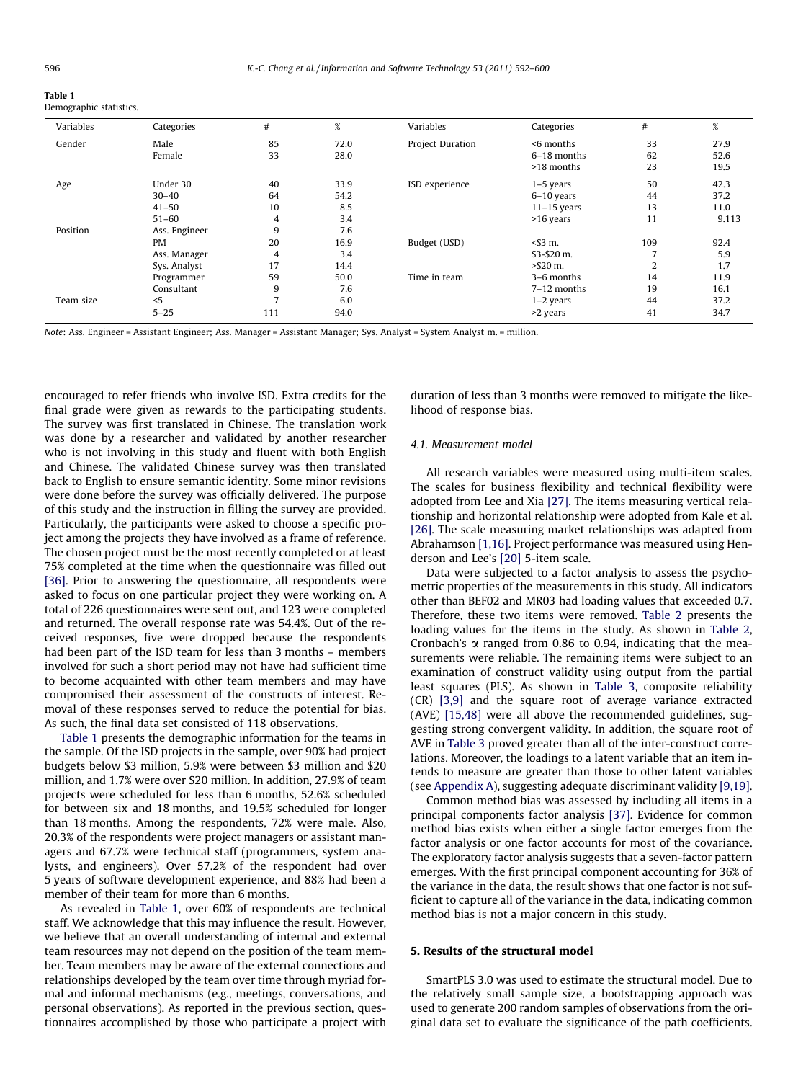| <b>Table 1</b>          |  |
|-------------------------|--|
| Demographic statistics. |  |

| Variables | Categories    | #              | $\%$ | Variables        | Categories    | #              | $\%$  |
|-----------|---------------|----------------|------|------------------|---------------|----------------|-------|
| Gender    | Male          | 85             | 72.0 | Project Duration | <6 months     | 33             | 27.9  |
|           | Female        | 33             | 28.0 |                  | 6-18 months   | 62             | 52.6  |
|           |               |                |      |                  | >18 months    | 23             | 19.5  |
| Age       | Under 30      | 40             | 33.9 | ISD experience   | $1-5$ years   | 50             | 42.3  |
|           | $30 - 40$     | 64             | 54.2 |                  | $6-10$ years  | 44             | 37.2  |
|           | $41 - 50$     | 10             | 8.5  |                  | $11-15$ years | 13             | 11.0  |
|           | $51 - 60$     | $\overline{4}$ | 3.4  |                  | >16 years     | 11             | 9.113 |
| Position  | Ass. Engineer | 9              | 7.6  |                  |               |                |       |
|           | <b>PM</b>     | 20             | 16.9 | Budget (USD)     | $<$ \$3 m.    | 109            | 92.4  |
|           | Ass. Manager  | 4              | 3.4  |                  | $$3-$20 m.$   |                | 5.9   |
|           | Sys. Analyst  | 17             | 14.4 |                  | $>$ \$20 m.   | $\overline{2}$ | 1.7   |
|           | Programmer    | 59             | 50.0 | Time in team     | 3-6 months    | 14             | 11.9  |
|           | Consultant    | 9              | 7.6  |                  | $7-12$ months | 19             | 16.1  |
| Team size | $<$ 5         | $\overline{ }$ | 6.0  |                  | $1-2$ years   | 44             | 37.2  |
|           | $5 - 25$      | 111            | 94.0 |                  | >2 years      | 41             | 34.7  |

Note: Ass. Engineer = Assistant Engineer; Ass. Manager = Assistant Manager; Sys. Analyst = System Analyst m. = million.

encouraged to refer friends who involve ISD. Extra credits for the final grade were given as rewards to the participating students. The survey was first translated in Chinese. The translation work was done by a researcher and validated by another researcher who is not involving in this study and fluent with both English and Chinese. The validated Chinese survey was then translated back to English to ensure semantic identity. Some minor revisions were done before the survey was officially delivered. The purpose of this study and the instruction in filling the survey are provided. Particularly, the participants were asked to choose a specific project among the projects they have involved as a frame of reference. The chosen project must be the most recently completed or at least 75% completed at the time when the questionnaire was filled out [\[36\]](#page-8-0). Prior to answering the questionnaire, all respondents were asked to focus on one particular project they were working on. A total of 226 questionnaires were sent out, and 123 were completed and returned. The overall response rate was 54.4%. Out of the received responses, five were dropped because the respondents had been part of the ISD team for less than 3 months – members involved for such a short period may not have had sufficient time to become acquainted with other team members and may have compromised their assessment of the constructs of interest. Removal of these responses served to reduce the potential for bias. As such, the final data set consisted of 118 observations.

Table 1 presents the demographic information for the teams in the sample. Of the ISD projects in the sample, over 90% had project budgets below \$3 million, 5.9% were between \$3 million and \$20 million, and 1.7% were over \$20 million. In addition, 27.9% of team projects were scheduled for less than 6 months, 52.6% scheduled for between six and 18 months, and 19.5% scheduled for longer than 18 months. Among the respondents, 72% were male. Also, 20.3% of the respondents were project managers or assistant managers and 67.7% were technical staff (programmers, system analysts, and engineers). Over 57.2% of the respondent had over 5 years of software development experience, and 88% had been a member of their team for more than 6 months.

As revealed in Table 1, over 60% of respondents are technical staff. We acknowledge that this may influence the result. However, we believe that an overall understanding of internal and external team resources may not depend on the position of the team member. Team members may be aware of the external connections and relationships developed by the team over time through myriad formal and informal mechanisms (e.g., meetings, conversations, and personal observations). As reported in the previous section, questionnaires accomplished by those who participate a project with duration of less than 3 months were removed to mitigate the likelihood of response bias.

#### 4.1. Measurement model

All research variables were measured using multi-item scales. The scales for business flexibility and technical flexibility were adopted from Lee and Xia [\[27\].](#page-8-0) The items measuring vertical relationship and horizontal relationship were adopted from Kale et al. [\[26\]](#page-8-0). The scale measuring market relationships was adapted from Abrahamson [\[1,16\]](#page-7-0). Project performance was measured using Henderson and Lee's [\[20\]](#page-8-0) 5-item scale.

Data were subjected to a factor analysis to assess the psychometric properties of the measurements in this study. All indicators other than BEF02 and MR03 had loading values that exceeded 0.7. Therefore, these two items were removed. [Table 2](#page-5-0) presents the loading values for the items in the study. As shown in [Table 2,](#page-5-0) Cronbach's  $\alpha$  ranged from 0.86 to 0.94, indicating that the measurements were reliable. The remaining items were subject to an examination of construct validity using output from the partial least squares (PLS). As shown in [Table 3,](#page-5-0) composite reliability (CR) [\[3,9\]](#page-7-0) and the square root of average variance extracted (AVE) [\[15,48\]](#page-8-0) were all above the recommended guidelines, suggesting strong convergent validity. In addition, the square root of AVE in [Table 3](#page-5-0) proved greater than all of the inter-construct correlations. Moreover, the loadings to a latent variable that an item intends to measure are greater than those to other latent variables (see [Appendix A](#page-7-0)), suggesting adequate discriminant validity [\[9,19\].](#page-8-0)

Common method bias was assessed by including all items in a principal components factor analysis [\[37\].](#page-8-0) Evidence for common method bias exists when either a single factor emerges from the factor analysis or one factor accounts for most of the covariance. The exploratory factor analysis suggests that a seven-factor pattern emerges. With the first principal component accounting for 36% of the variance in the data, the result shows that one factor is not sufficient to capture all of the variance in the data, indicating common method bias is not a major concern in this study.

## 5. Results of the structural model

SmartPLS 3.0 was used to estimate the structural model. Due to the relatively small sample size, a bootstrapping approach was used to generate 200 random samples of observations from the original data set to evaluate the significance of the path coefficients.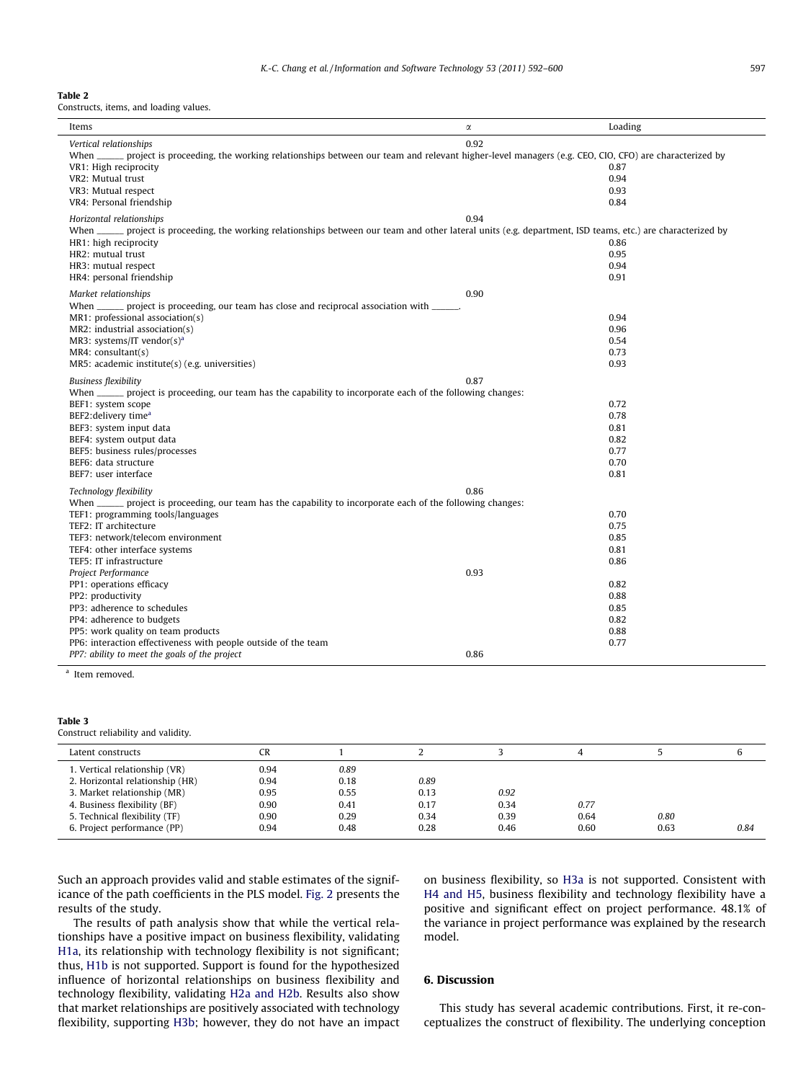## <span id="page-5-0"></span>Table 2

Constructs, items, and loading values.

| Items                                                                                                                                                                                                                                                                                                                                                                                                                                                                                                                                             | $\alpha$     | Loading                                                                              |
|---------------------------------------------------------------------------------------------------------------------------------------------------------------------------------------------------------------------------------------------------------------------------------------------------------------------------------------------------------------------------------------------------------------------------------------------------------------------------------------------------------------------------------------------------|--------------|--------------------------------------------------------------------------------------|
| Vertical relationships<br>When ____ project is proceeding, the working relationships between our team and relevant higher-level managers (e.g. CEO, CIO, CFO) are characterized by<br>VR1: High reciprocity<br>VR2: Mutual trust<br>VR3: Mutual respect<br>VR4: Personal friendship                                                                                                                                                                                                                                                               | 0.92         | 0.87<br>0.94<br>0.93<br>0.84                                                         |
| Horizontal relationships<br>When ____ project is proceeding, the working relationships between our team and other lateral units (e.g. department, ISD teams, etc.) are characterized by<br>HR1: high reciprocity<br>HR2: mutual trust<br>HR3: mutual respect<br>HR4: personal friendship                                                                                                                                                                                                                                                          | 0.94         | 0.86<br>0.95<br>0.94<br>0.91                                                         |
| Market relationships<br>When ______ project is proceeding, our team has close and reciprocal association with ______<br>MR1: professional association(s)<br>MR2: industrial association(s)<br>MR3: systems/IT vendor(s) <sup>a</sup><br>MR4: consultant(s)<br>$MR5$ : academic institute(s) (e.g. universities)                                                                                                                                                                                                                                   | 0.90         | 0.94<br>0.96<br>0.54<br>0.73<br>0.93                                                 |
| <b>Business flexibility</b><br>When ______ project is proceeding, our team has the capability to incorporate each of the following changes:<br>BEF1: system scope<br>BEF2: delivery time <sup>a</sup><br>BEF3: system input data<br>BEF4: system output data<br>BEF5: business rules/processes<br>BEF6: data structure<br>BEF7: user interface                                                                                                                                                                                                    | 0.87         | 0.72<br>0.78<br>0.81<br>0.82<br>0.77<br>0.70<br>0.81                                 |
| Technology flexibility<br>When ______ project is proceeding, our team has the capability to incorporate each of the following changes:<br>TEF1: programming tools/languages<br>TEF2: IT architecture<br>TEF3: network/telecom environment<br>TEF4: other interface systems<br>TEF5: IT infrastructure<br>Project Performance<br>PP1: operations efficacy<br>PP2: productivity<br>PP3: adherence to schedules<br>PP4: adherence to budgets<br>PP5: work quality on team products<br>PP6: interaction effectiveness with people outside of the team | 0.86<br>0.93 | 0.70<br>0.75<br>0.85<br>0.81<br>0.86<br>0.82<br>0.88<br>0.85<br>0.82<br>0.88<br>0.77 |
| PP7: ability to meet the goals of the project                                                                                                                                                                                                                                                                                                                                                                                                                                                                                                     | 0.86         |                                                                                      |

<sup>a</sup> Item removed.

## Table 3

Construct reliability and validity.

| Latent constructs               |      |      |      |      |      |      |      |
|---------------------------------|------|------|------|------|------|------|------|
| 1. Vertical relationship (VR)   | 0.94 | 0.89 |      |      |      |      |      |
| 2. Horizontal relationship (HR) | 0.94 | 0.18 | 0.89 |      |      |      |      |
| 3. Market relationship (MR)     | 0.95 | 0.55 | 0.13 | 0.92 |      |      |      |
| 4. Business flexibility (BF)    | 0.90 | 0.41 | 0.17 | 0.34 | 0.77 |      |      |
| 5. Technical flexibility (TF)   | 0.90 | 0.29 | 0.34 | 0.39 | 0.64 | 0.80 |      |
| 6. Project performance (PP)     | 0.94 | 0.48 | 0.28 | 0.46 | 0.60 | 0.63 | 0.84 |
|                                 |      |      |      |      |      |      |      |

Such an approach provides valid and stable estimates of the significance of the path coefficients in the PLS model. [Fig. 2](#page-6-0) presents the results of the study.

The results of path analysis show that while the vertical relationships have a positive impact on business flexibility, validating [H1a,](#page-2-0) its relationship with technology flexibility is not significant; thus, [H1b](#page-2-0) is not supported. Support is found for the hypothesized influence of horizontal relationships on business flexibility and technology flexibility, validating [H2a and H2b](#page-3-0). Results also show that market relationships are positively associated with technology flexibility, supporting [H3b](#page-3-0); however, they do not have an impact

on business flexibility, so [H3a](#page-3-0) is not supported. Consistent with [H4 and H5](#page-3-0), business flexibility and technology flexibility have a positive and significant effect on project performance. 48.1% of the variance in project performance was explained by the research model.

# 6. Discussion

This study has several academic contributions. First, it re-conceptualizes the construct of flexibility. The underlying conception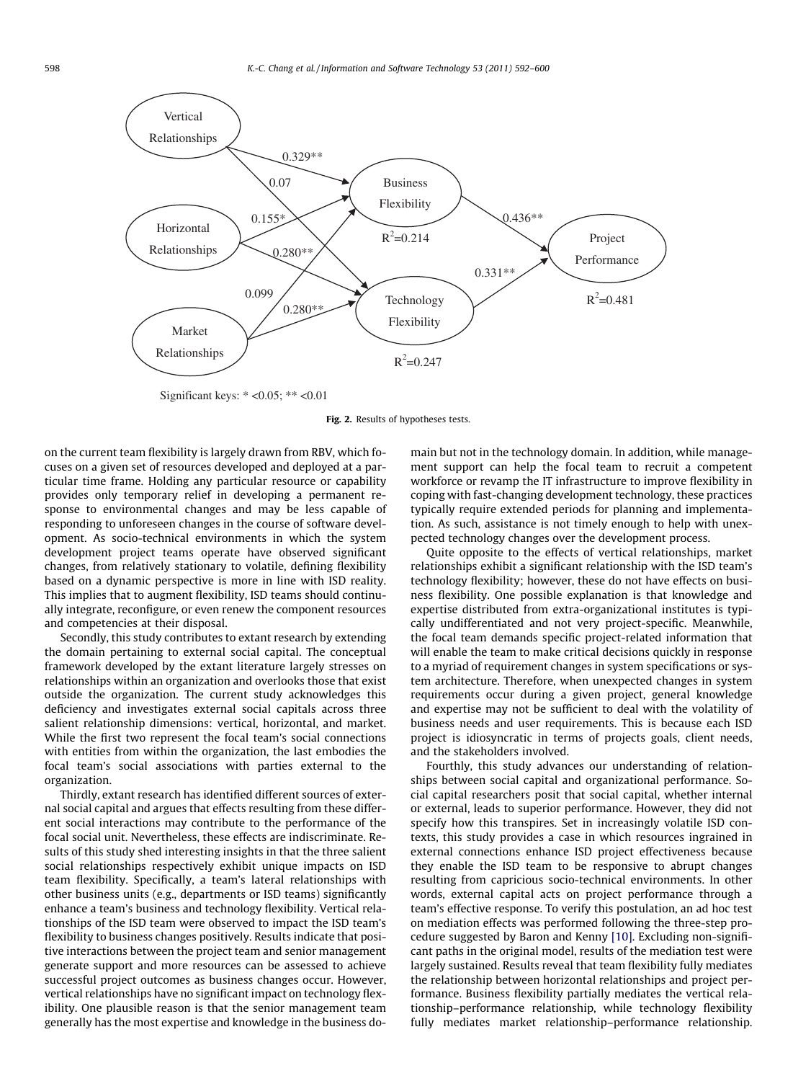<span id="page-6-0"></span>

Significant keys:  $* < 0.05$ ;  $** < 0.01$ 

Fig. 2. Results of hypotheses tests.

on the current team flexibility is largely drawn from RBV, which focuses on a given set of resources developed and deployed at a particular time frame. Holding any particular resource or capability provides only temporary relief in developing a permanent response to environmental changes and may be less capable of responding to unforeseen changes in the course of software development. As socio-technical environments in which the system development project teams operate have observed significant changes, from relatively stationary to volatile, defining flexibility based on a dynamic perspective is more in line with ISD reality. This implies that to augment flexibility, ISD teams should continually integrate, reconfigure, or even renew the component resources and competencies at their disposal.

Secondly, this study contributes to extant research by extending the domain pertaining to external social capital. The conceptual framework developed by the extant literature largely stresses on relationships within an organization and overlooks those that exist outside the organization. The current study acknowledges this deficiency and investigates external social capitals across three salient relationship dimensions: vertical, horizontal, and market. While the first two represent the focal team's social connections with entities from within the organization, the last embodies the focal team's social associations with parties external to the organization.

Thirdly, extant research has identified different sources of external social capital and argues that effects resulting from these different social interactions may contribute to the performance of the focal social unit. Nevertheless, these effects are indiscriminate. Results of this study shed interesting insights in that the three salient social relationships respectively exhibit unique impacts on ISD team flexibility. Specifically, a team's lateral relationships with other business units (e.g., departments or ISD teams) significantly enhance a team's business and technology flexibility. Vertical relationships of the ISD team were observed to impact the ISD team's flexibility to business changes positively. Results indicate that positive interactions between the project team and senior management generate support and more resources can be assessed to achieve successful project outcomes as business changes occur. However, vertical relationships have no significant impact on technology flexibility. One plausible reason is that the senior management team generally has the most expertise and knowledge in the business domain but not in the technology domain. In addition, while management support can help the focal team to recruit a competent workforce or revamp the IT infrastructure to improve flexibility in coping with fast-changing development technology, these practices typically require extended periods for planning and implementation. As such, assistance is not timely enough to help with unexpected technology changes over the development process.

Quite opposite to the effects of vertical relationships, market relationships exhibit a significant relationship with the ISD team's technology flexibility; however, these do not have effects on business flexibility. One possible explanation is that knowledge and expertise distributed from extra-organizational institutes is typically undifferentiated and not very project-specific. Meanwhile, the focal team demands specific project-related information that will enable the team to make critical decisions quickly in response to a myriad of requirement changes in system specifications or system architecture. Therefore, when unexpected changes in system requirements occur during a given project, general knowledge and expertise may not be sufficient to deal with the volatility of business needs and user requirements. This is because each ISD project is idiosyncratic in terms of projects goals, client needs, and the stakeholders involved.

Fourthly, this study advances our understanding of relationships between social capital and organizational performance. Social capital researchers posit that social capital, whether internal or external, leads to superior performance. However, they did not specify how this transpires. Set in increasingly volatile ISD contexts, this study provides a case in which resources ingrained in external connections enhance ISD project effectiveness because they enable the ISD team to be responsive to abrupt changes resulting from capricious socio-technical environments. In other words, external capital acts on project performance through a team's effective response. To verify this postulation, an ad hoc test on mediation effects was performed following the three-step procedure suggested by Baron and Kenny [\[10\]](#page-8-0). Excluding non-significant paths in the original model, results of the mediation test were largely sustained. Results reveal that team flexibility fully mediates the relationship between horizontal relationships and project performance. Business flexibility partially mediates the vertical relationship–performance relationship, while technology flexibility fully mediates market relationship–performance relationship.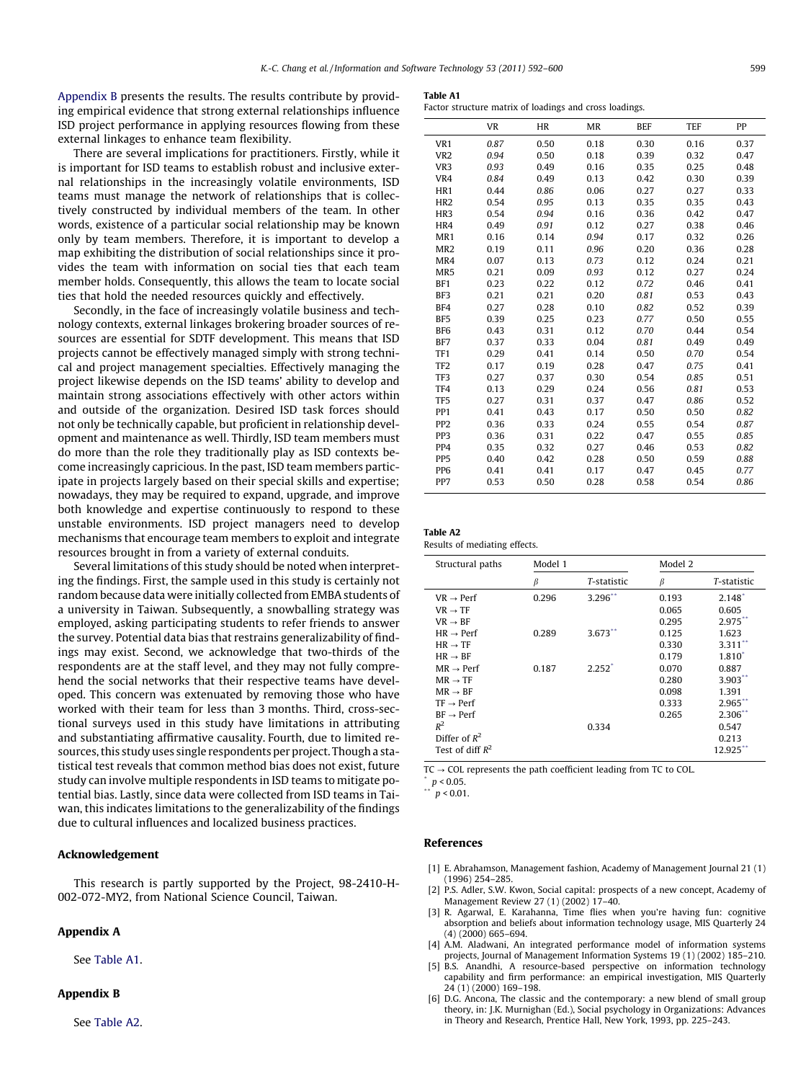<span id="page-7-0"></span>Appendix B presents the results. The results contribute by providing empirical evidence that strong external relationships influence ISD project performance in applying resources flowing from these external linkages to enhance team flexibility.

There are several implications for practitioners. Firstly, while it is important for ISD teams to establish robust and inclusive external relationships in the increasingly volatile environments, ISD teams must manage the network of relationships that is collectively constructed by individual members of the team. In other words, existence of a particular social relationship may be known only by team members. Therefore, it is important to develop a map exhibiting the distribution of social relationships since it provides the team with information on social ties that each team member holds. Consequently, this allows the team to locate social ties that hold the needed resources quickly and effectively.

Secondly, in the face of increasingly volatile business and technology contexts, external linkages brokering broader sources of resources are essential for SDTF development. This means that ISD projects cannot be effectively managed simply with strong technical and project management specialties. Effectively managing the project likewise depends on the ISD teams' ability to develop and maintain strong associations effectively with other actors within and outside of the organization. Desired ISD task forces should not only be technically capable, but proficient in relationship development and maintenance as well. Thirdly, ISD team members must do more than the role they traditionally play as ISD contexts become increasingly capricious. In the past, ISD team members participate in projects largely based on their special skills and expertise; nowadays, they may be required to expand, upgrade, and improve both knowledge and expertise continuously to respond to these unstable environments. ISD project managers need to develop mechanisms that encourage team members to exploit and integrate resources brought in from a variety of external conduits.

Several limitations of this study should be noted when interpreting the findings. First, the sample used in this study is certainly not random because data were initially collected from EMBA students of a university in Taiwan. Subsequently, a snowballing strategy was employed, asking participating students to refer friends to answer the survey. Potential data bias that restrains generalizability of findings may exist. Second, we acknowledge that two-thirds of the respondents are at the staff level, and they may not fully comprehend the social networks that their respective teams have developed. This concern was extenuated by removing those who have worked with their team for less than 3 months. Third, cross-sectional surveys used in this study have limitations in attributing and substantiating affirmative causality. Fourth, due to limited resources, this study uses single respondents per project. Though a statistical test reveals that common method bias does not exist, future study can involve multiple respondents in ISD teams to mitigate potential bias. Lastly, since data were collected from ISD teams in Taiwan, this indicates limitations to the generalizability of the findings due to cultural influences and localized business practices.

## Acknowledgement

This research is partly supported by the Project, 98-2410-H-002-072-MY2, from National Science Council, Taiwan.

## Appendix A

See Table A1.

# Appendix B

#### Table A1

Factor structure matrix of loadings and cross loadings.

|                 | <b>VR</b> | HR   | <b>MR</b> | <b>BEF</b> | <b>TEF</b> | PP   |
|-----------------|-----------|------|-----------|------------|------------|------|
| VR1             | 0.87      | 0.50 | 0.18      | 0.30       | 0.16       | 0.37 |
| VR <sub>2</sub> | 0.94      | 0.50 | 0.18      | 0.39       | 0.32       | 0.47 |
| VR <sub>3</sub> | 0.93      | 0.49 | 0.16      | 0.35       | 0.25       | 0.48 |
| VR4             | 0.84      | 0.49 | 0.13      | 0.42       | 0.30       | 0.39 |
| HR1             | 0.44      | 0.86 | 0.06      | 0.27       | 0.27       | 0.33 |
| HR <sub>2</sub> | 0.54      | 0.95 | 0.13      | 0.35       | 0.35       | 0.43 |
| HR <sub>3</sub> | 0.54      | 0.94 | 0.16      | 0.36       | 0.42       | 0.47 |
| HR4             | 0.49      | 0.91 | 0.12      | 0.27       | 0.38       | 0.46 |
| MR1             | 0.16      | 0.14 | 0.94      | 0.17       | 0.32       | 0.26 |
| MR <sub>2</sub> | 0.19      | 0.11 | 0.96      | 0.20       | 0.36       | 0.28 |
| MR4             | 0.07      | 0.13 | 0.73      | 0.12       | 0.24       | 0.21 |
| MR5             | 0.21      | 0.09 | 0.93      | 0.12       | 0.27       | 0.24 |
| BF1             | 0.23      | 0.22 | 0.12      | 0.72       | 0.46       | 0.41 |
| BF3             | 0.21      | 0.21 | 0.20      | 0.81       | 0.53       | 0.43 |
| BF4             | 0.27      | 0.28 | 0.10      | 0.82       | 0.52       | 0.39 |
| BF <sub>5</sub> | 0.39      | 0.25 | 0.23      | 0.77       | 0.50       | 0.55 |
| BF <sub>6</sub> | 0.43      | 0.31 | 0.12      | 0.70       | 0.44       | 0.54 |
| BF7             | 0.37      | 0.33 | 0.04      | 0.81       | 0.49       | 0.49 |
| TF1             | 0.29      | 0.41 | 0.14      | 0.50       | 0.70       | 0.54 |
| TF <sub>2</sub> | 0.17      | 0.19 | 0.28      | 0.47       | 0.75       | 0.41 |
| TF3             | 0.27      | 0.37 | 0.30      | 0.54       | 0.85       | 0.51 |
| TF4             | 0.13      | 0.29 | 0.24      | 0.56       | 0.81       | 0.53 |
| TF <sub>5</sub> | 0.27      | 0.31 | 0.37      | 0.47       | 0.86       | 0.52 |
| PP1             | 0.41      | 0.43 | 0.17      | 0.50       | 0.50       | 0.82 |
| PP <sub>2</sub> | 0.36      | 0.33 | 0.24      | 0.55       | 0.54       | 0.87 |
| PP <sub>3</sub> | 0.36      | 0.31 | 0.22      | 0.47       | 0.55       | 0.85 |
| PP4             | 0.35      | 0.32 | 0.27      | 0.46       | 0.53       | 0.82 |
| PP <sub>5</sub> | 0.40      | 0.42 | 0.28      | 0.50       | 0.59       | 0.88 |
| PP <sub>6</sub> | 0.41      | 0.41 | 0.17      | 0.47       | 0.45       | 0.77 |
| PP7             | 0.53      | 0.50 | 0.28      | 0.58       | 0.54       | 0.86 |

| Table A2 |                               |  |
|----------|-------------------------------|--|
|          | Results of mediating effects. |  |

 $T = 12$ 

| Structural paths      | Model 1 |             | Model 2 |                      |
|-----------------------|---------|-------------|---------|----------------------|
|                       | β       | T-statistic | B       | T-statistic          |
| $VR \rightarrow Perf$ | 0.296   | $3.296**$   | 0.193   | $2.148^*$            |
| $VR \rightarrow TF$   |         |             | 0.065   | 0.605                |
| $VR \rightarrow BF$   |         |             | 0.295   | $2.975$ **           |
| $HR \rightarrow$ Perf | 0.289   | 3.673       | 0.125   | 1.623                |
| $HR \rightarrow TF$   |         |             | 0.330   | $3.311$ <sup>*</sup> |
| $HR \rightarrow BF$   |         |             | 0.179   | $1.810^{*}$          |
| $MR \rightarrow Perf$ | 0.187   | $2.252*$    | 0.070   | 0.887                |
| $MR \rightarrow TF$   |         |             | 0.280   | $3.903**$            |
| $MR \rightarrow BF$   |         |             | 0.098   | 1.391                |
| $TF \rightarrow$ Perf |         |             | 0.333   | 2.965"               |
| $BF \rightarrow$ Perf |         |             | 0.265   | $2.306$ **           |
| $R^2$                 |         | 0.334       |         | 0.547                |
| Differ of $R^2$       |         |             |         | 0.213                |
| Test of diff $R^2$    |         |             |         | 12.925               |

 $TC \rightarrow COL$  represents the path coefficient leading from TC to COL.

 $* p < 0.05$ .

 $p < 0.01$ .

#### References

- [1] E. Abrahamson, Management fashion, Academy of Management Journal 21 (1) (1996) 254–285.
- P.S. Adler, S.W. Kwon, Social capital: prospects of a new concept, Academy of Management Review 27 (1) (2002) 17–40.
- [3] R. Agarwal, E. Karahanna, Time flies when you're having fun: cognitive absorption and beliefs about information technology usage, MIS Quarterly 24 (4) (2000) 665–694.
- [4] A.M. Aladwani, An integrated performance model of information systems projects, Journal of Management Information Systems 19 (1) (2002) 185–210.
- [5] B.S. Anandhi, A resource-based perspective on information technology capability and firm performance: an empirical investigation, MIS Quarterly 24 (1) (2000) 169–198.
- [6] D.G. Ancona, The classic and the contemporary: a new blend of small group theory, in: J.K. Murnighan (Ed.), Social psychology in Organizations: Advances in Theory and Research, Prentice Hall, New York, 1993, pp. 225–243.